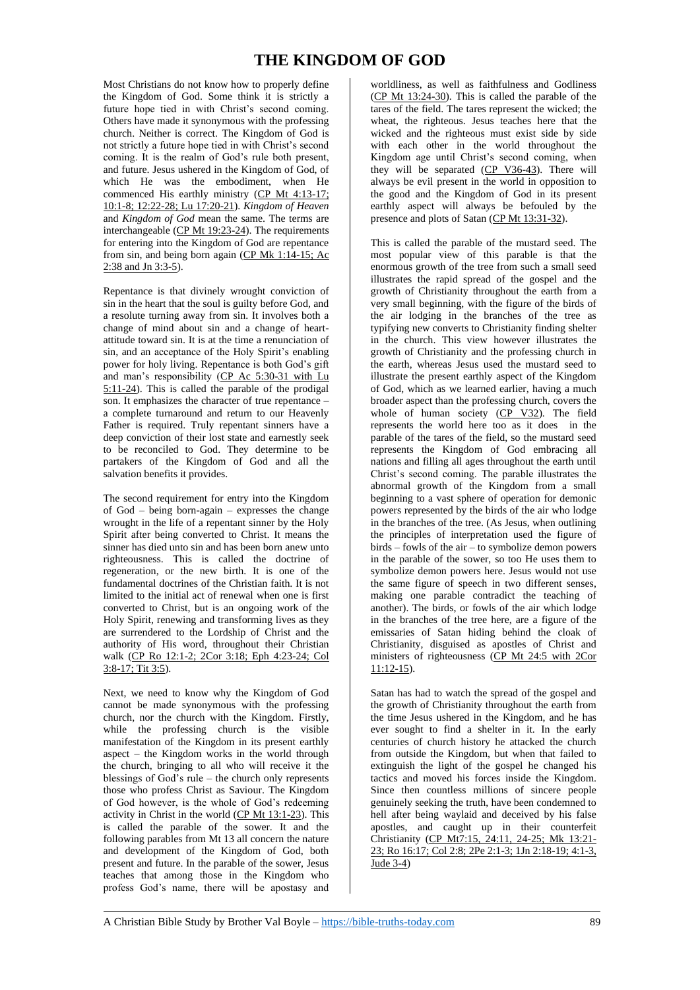## **THE KINGDOM OF GOD**

Most Christians do not know how to properly define the Kingdom of God. Some think it is strictly a future hope tied in with Christ's second coming. Others have made it synonymous with the professing church. Neither is correct. The Kingdom of God is not strictly a future hope tied in with Christ's second coming. It is the realm of God's rule both present, and future. Jesus ushered in the Kingdom of God, of which He was the embodiment, when He commenced His earthly ministry (CP Mt 4:13-17; 10:1-8; 12:22-28; Lu 17:20-21). *Kingdom of Heaven* and *Kingdom of God* mean the same. The terms are interchangeable (CP Mt 19:23-24). The requirements for entering into the Kingdom of God are repentance from sin, and being born again (CP Mk 1:14-15; Ac 2:38 and Jn 3:3-5).

Repentance is that divinely wrought conviction of sin in the heart that the soul is guilty before God, and a resolute turning away from sin. It involves both a change of mind about sin and a change of heartattitude toward sin. It is at the time a renunciation of sin, and an acceptance of the Holy Spirit's enabling power for holy living. Repentance is both God's gift and man's responsibility (CP Ac 5:30-31 with Lu 5:11-24). This is called the parable of the prodigal son. It emphasizes the character of true repentance – a complete turnaround and return to our Heavenly Father is required. Truly repentant sinners have a deep conviction of their lost state and earnestly seek to be reconciled to God. They determine to be partakers of the Kingdom of God and all the salvation benefits it provides.

The second requirement for entry into the Kingdom of God – being born-again – expresses the change wrought in the life of a repentant sinner by the Holy Spirit after being converted to Christ. It means the sinner has died unto sin and has been born anew unto righteousness. This is called the doctrine of regeneration, or the new birth. It is one of the fundamental doctrines of the Christian faith. It is not limited to the initial act of renewal when one is first converted to Christ, but is an ongoing work of the Holy Spirit, renewing and transforming lives as they are surrendered to the Lordship of Christ and the authority of His word, throughout their Christian walk (CP Ro 12:1-2; 2Cor 3:18; Eph 4:23-24; Col 3:8-17; Tit 3:5).

Next, we need to know why the Kingdom of God cannot be made synonymous with the professing church, nor the church with the Kingdom. Firstly, while the professing church is the visible manifestation of the Kingdom in its present earthly aspect – the Kingdom works in the world through the church, bringing to all who will receive it the blessings of God's rule – the church only represents those who profess Christ as Saviour. The Kingdom of God however, is the whole of God's redeeming activity in Christ in the world (CP Mt 13:1-23). This is called the parable of the sower. It and the following parables from Mt 13 all concern the nature and development of the Kingdom of God, both present and future. In the parable of the sower, Jesus teaches that among those in the Kingdom who profess God's name, there will be apostasy and

worldliness, as well as faithfulness and Godliness (CP Mt 13:24-30). This is called the parable of the tares of the field. The tares represent the wicked; the wheat, the righteous. Jesus teaches here that the wicked and the righteous must exist side by side with each other in the world throughout the Kingdom age until Christ's second coming, when they will be separated (CP V36-43). There will always be evil present in the world in opposition to the good and the Kingdom of God in its present earthly aspect will always be befouled by the presence and plots of Satan (CP Mt 13:31-32).

This is called the parable of the mustard seed. The most popular view of this parable is that the enormous growth of the tree from such a small seed illustrates the rapid spread of the gospel and the growth of Christianity throughout the earth from a very small beginning, with the figure of the birds of the air lodging in the branches of the tree as typifying new converts to Christianity finding shelter in the church. This view however illustrates the growth of Christianity and the professing church in the earth, whereas Jesus used the mustard seed to illustrate the present earthly aspect of the Kingdom of God, which as we learned earlier, having a much broader aspect than the professing church, covers the whole of human society (CP V32). The field represents the world here too as it does in the parable of the tares of the field, so the mustard seed represents the Kingdom of God embracing all nations and filling all ages throughout the earth until Christ's second coming. The parable illustrates the abnormal growth of the Kingdom from a small beginning to a vast sphere of operation for demonic powers represented by the birds of the air who lodge in the branches of the tree. (As Jesus, when outlining the principles of interpretation used the figure of  $birds - fowls$  of the air – to symbolize demon powers in the parable of the sower, so too He uses them to symbolize demon powers here. Jesus would not use the same figure of speech in two different senses, making one parable contradict the teaching of another). The birds, or fowls of the air which lodge in the branches of the tree here, are a figure of the emissaries of Satan hiding behind the cloak of Christianity, disguised as apostles of Christ and ministers of righteousness (CP Mt 24:5 with 2Cor 11:12-15).

Satan has had to watch the spread of the gospel and the growth of Christianity throughout the earth from the time Jesus ushered in the Kingdom, and he has ever sought to find a shelter in it. In the early centuries of church history he attacked the church from outside the Kingdom, but when that failed to extinguish the light of the gospel he changed his tactics and moved his forces inside the Kingdom. Since then countless millions of sincere people genuinely seeking the truth, have been condemned to hell after being waylaid and deceived by his false apostles, and caught up in their counterfeit Christianity (CP Mt7:15, 24:11, 24-25; Mk 13:21- 23; Ro 16:17; Col 2:8; 2Pe 2:1-3; 1Jn 2:18-19; 4:1-3, Jude 3-4)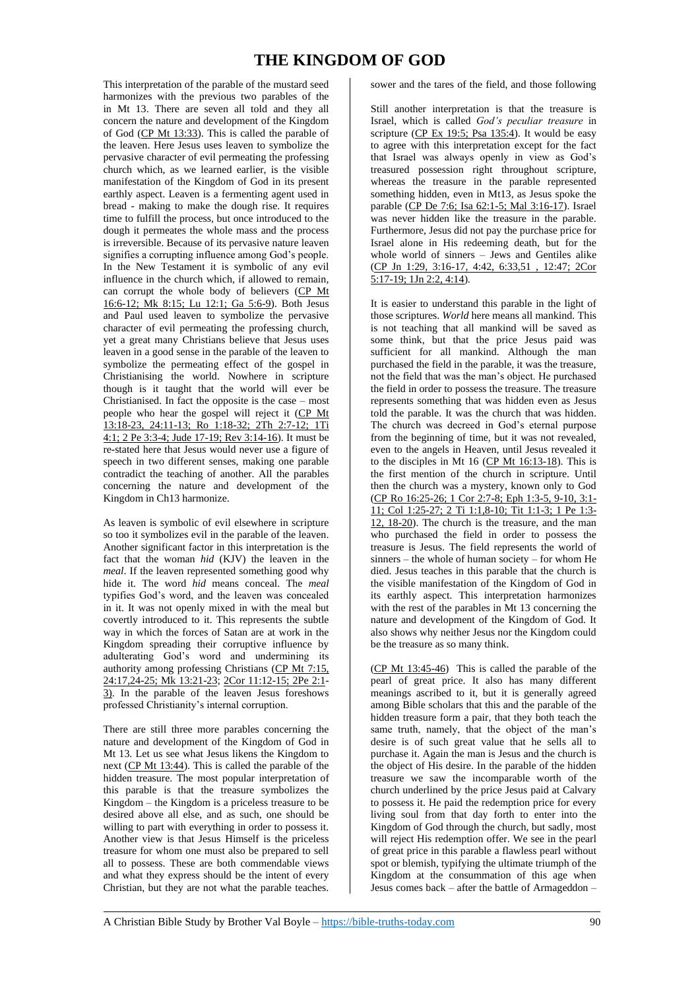## **THE KINGDOM OF GOD**

This interpretation of the parable of the mustard seed harmonizes with the previous two parables of the in Mt 13. There are seven all told and they all concern the nature and development of the Kingdom of God (CP Mt 13:33). This is called the parable of the leaven. Here Jesus uses leaven to symbolize the pervasive character of evil permeating the professing church which, as we learned earlier, is the visible manifestation of the Kingdom of God in its present earthly aspect. Leaven is a fermenting agent used in bread - making to make the dough rise. It requires time to fulfill the process, but once introduced to the dough it permeates the whole mass and the process is irreversible. Because of its pervasive nature leaven signifies a corrupting influence among God's people. In the New Testament it is symbolic of any evil influence in the church which, if allowed to remain, can corrupt the whole body of believers (CP Mt 16:6-12; Mk 8:15; Lu 12:1; Ga 5:6-9). Both Jesus and Paul used leaven to symbolize the pervasive character of evil permeating the professing church, yet a great many Christians believe that Jesus uses leaven in a good sense in the parable of the leaven to symbolize the permeating effect of the gospel in Christianising the world. Nowhere in scripture though is it taught that the world will ever be Christianised. In fact the opposite is the case – most people who hear the gospel will reject it (CP Mt 13:18-23, 24:11-13; Ro 1:18-32; 2Th 2:7-12; 1Ti 4:1; 2 Pe 3:3-4; Jude 17-19; Rev 3:14-16). It must be re-stated here that Jesus would never use a figure of speech in two different senses, making one parable contradict the teaching of another. All the parables concerning the nature and development of the Kingdom in Ch13 harmonize.

As leaven is symbolic of evil elsewhere in scripture so too it symbolizes evil in the parable of the leaven. Another significant factor in this interpretation is the fact that the woman *hid* (KJV) the leaven in the *meal*. If the leaven represented something good why hide it. The word *hid* means conceal. The *meal* typifies God's word, and the leaven was concealed in it. It was not openly mixed in with the meal but covertly introduced to it. This represents the subtle way in which the forces of Satan are at work in the Kingdom spreading their corruptive influence by adulterating God's word and undermining its authority among professing Christians (CP Mt 7:15, 24:17,24-25; Mk 13:21-23; 2Cor 11:12-15; 2Pe 2:1- 3). In the parable of the leaven Jesus foreshows professed Christianity's internal corruption.

There are still three more parables concerning the nature and development of the Kingdom of God in Mt 13. Let us see what Jesus likens the Kingdom to next (CP Mt 13:44). This is called the parable of the hidden treasure. The most popular interpretation of this parable is that the treasure symbolizes the Kingdom – the Kingdom is a priceless treasure to be desired above all else, and as such, one should be willing to part with everything in order to possess it. Another view is that Jesus Himself is the priceless treasure for whom one must also be prepared to sell all to possess. These are both commendable views and what they express should be the intent of every Christian, but they are not what the parable teaches.

sower and the tares of the field, and those following

Still another interpretation is that the treasure is Israel, which is called *God's peculiar treasure* in scripture ( $CP$  Ex 19:5; Psa 135:4). It would be easy to agree with this interpretation except for the fact that Israel was always openly in view as God's treasured possession right throughout scripture, whereas the treasure in the parable represented something hidden, even in Mt13, as Jesus spoke the parable (CP De 7:6; Isa 62:1-5; Mal 3:16-17). Israel was never hidden like the treasure in the parable. Furthermore, Jesus did not pay the purchase price for Israel alone in His redeeming death, but for the whole world of sinners – Jews and Gentiles alike (CP Jn 1:29, 3:16-17, 4:42, 6:33,51 , 12:47; 2Cor 5:17-19; 1Jn 2:2, 4:14).

It is easier to understand this parable in the light of those scriptures. *World* here means all mankind. This is not teaching that all mankind will be saved as some think, but that the price Jesus paid was sufficient for all mankind. Although the man purchased the field in the parable, it was the treasure, not the field that was the man's object. He purchased the field in order to possess the treasure. The treasure represents something that was hidden even as Jesus told the parable. It was the church that was hidden. The church was decreed in God's eternal purpose from the beginning of time, but it was not revealed, even to the angels in Heaven, until Jesus revealed it to the disciples in Mt 16 (CP Mt 16:13-18). This is the first mention of the church in scripture. Until then the church was a mystery, known only to God (CP Ro 16:25-26; 1 Cor 2:7-8; Eph 1:3-5, 9-10, 3:1- 11; Col 1:25-27; 2 Ti 1:1,8-10; Tit 1:1-3; 1 Pe 1:3- 12, 18-20). The church is the treasure, and the man who purchased the field in order to possess the treasure is Jesus. The field represents the world of sinners – the whole of human society – for whom He died. Jesus teaches in this parable that the church is the visible manifestation of the Kingdom of God in its earthly aspect. This interpretation harmonizes with the rest of the parables in Mt 13 concerning the nature and development of the Kingdom of God. It also shows why neither Jesus nor the Kingdom could be the treasure as so many think.

(CP Mt 13:45-46) This is called the parable of the pearl of great price. It also has many different meanings ascribed to it, but it is generally agreed among Bible scholars that this and the parable of the hidden treasure form a pair, that they both teach the same truth, namely, that the object of the man's desire is of such great value that he sells all to purchase it. Again the man is Jesus and the church is the object of His desire. In the parable of the hidden treasure we saw the incomparable worth of the church underlined by the price Jesus paid at Calvary to possess it. He paid the redemption price for every living soul from that day forth to enter into the Kingdom of God through the church, but sadly, most will reject His redemption offer. We see in the pearl of great price in this parable a flawless pearl without spot or blemish, typifying the ultimate triumph of the Kingdom at the consummation of this age when Jesus comes back – after the battle of Armageddon –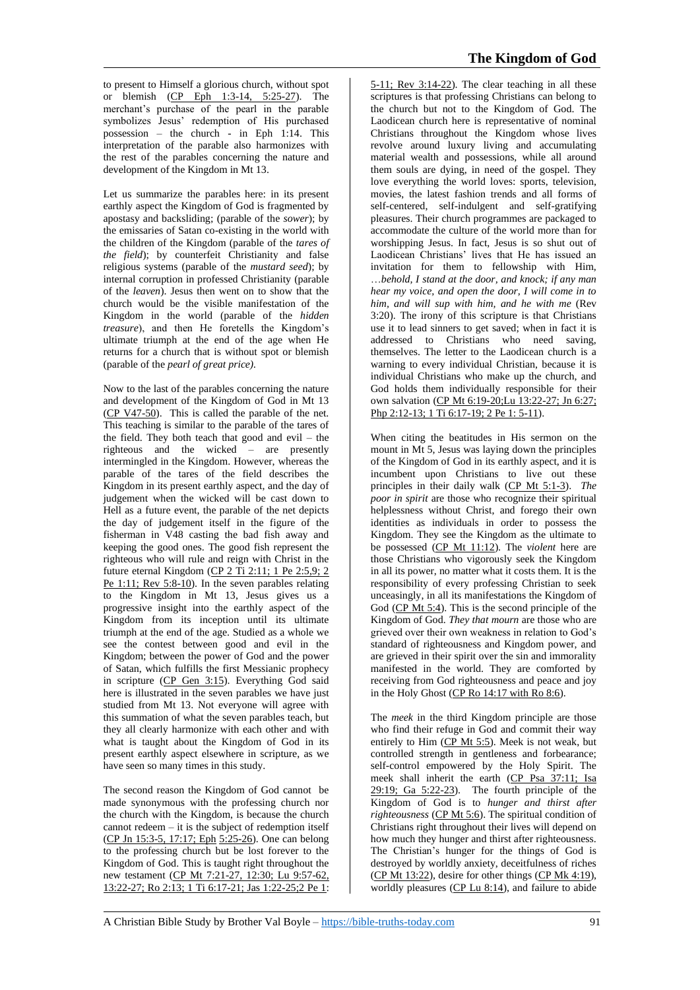to present to Himself a glorious church, without spot or blemish (CP Eph 1:3-14, 5:25-27). The merchant's purchase of the pearl in the parable symbolizes Jesus' redemption of His purchased possession – the church - in Eph 1:14. This interpretation of the parable also harmonizes with the rest of the parables concerning the nature and development of the Kingdom in Mt 13.

Let us summarize the parables here: in its present earthly aspect the Kingdom of God is fragmented by apostasy and backsliding; (parable of the *sower*); by the emissaries of Satan co-existing in the world with the children of the Kingdom (parable of the *tares of the field*); by counterfeit Christianity and false religious systems (parable of the *mustard seed*); by internal corruption in professed Christianity (parable of the *leaven*). Jesus then went on to show that the church would be the visible manifestation of the Kingdom in the world (parable of the *hidden treasure*), and then He foretells the Kingdom's ultimate triumph at the end of the age when He returns for a church that is without spot or blemish (parable of the *pearl of great price).*

Now to the last of the parables concerning the nature and development of the Kingdom of God in Mt 13  $(CP V47-50)$ . This is called the parable of the net. This teaching is similar to the parable of the tares of the field. They both teach that good and evil – the righteous and the wicked – are presently intermingled in the Kingdom. However, whereas the parable of the tares of the field describes the Kingdom in its present earthly aspect, and the day of judgement when the wicked will be cast down to Hell as a future event, the parable of the net depicts the day of judgement itself in the figure of the fisherman in V48 casting the bad fish away and keeping the good ones. The good fish represent the righteous who will rule and reign with Christ in the future eternal Kingdom (CP 2 Ti 2:11; 1 Pe 2:5,9; 2 Pe 1:11; Rev 5:8-10). In the seven parables relating to the Kingdom in Mt 13, Jesus gives us a progressive insight into the earthly aspect of the Kingdom from its inception until its ultimate triumph at the end of the age. Studied as a whole we see the contest between good and evil in the Kingdom; between the power of God and the power of Satan, which fulfills the first Messianic prophecy in scripture (CP Gen 3:15). Everything God said here is illustrated in the seven parables we have just studied from Mt 13. Not everyone will agree with this summation of what the seven parables teach, but they all clearly harmonize with each other and with what is taught about the Kingdom of God in its present earthly aspect elsewhere in scripture, as we have seen so many times in this study.

The second reason the Kingdom of God cannot be made synonymous with the professing church nor the church with the Kingdom, is because the church cannot redeem – it is the subject of redemption itself (CP Jn 15:3-5, 17:17; Eph 5:25-26). One can belong to the professing church but be lost forever to the Kingdom of God. This is taught right throughout the new testament (CP Mt 7:21-27, 12:30; Lu 9:57-62, 13:22-27; Ro 2:13; 1 Ti 6:17-21; Jas 1:22-25;2 Pe 1:

5-11; Rev 3:14-22). The clear teaching in all these scriptures is that professing Christians can belong to the church but not to the Kingdom of God. The Laodicean church here is representative of nominal Christians throughout the Kingdom whose lives revolve around luxury living and accumulating material wealth and possessions, while all around them souls are dying, in need of the gospel. They love everything the world loves: sports, television, movies, the latest fashion trends and all forms of self-centered, self-indulgent and self-gratifying pleasures. Their church programmes are packaged to accommodate the culture of the world more than for worshipping Jesus. In fact, Jesus is so shut out of Laodicean Christians' lives that He has issued an invitation for them to fellowship with Him, …*behold, I stand at the door, and knock; if any man hear my voice, and open the door, I will come in to him, and will sup with him, and he with me* (Rev 3:20). The irony of this scripture is that Christians use it to lead sinners to get saved; when in fact it is addressed to Christians who need saving, themselves. The letter to the Laodicean church is a warning to every individual Christian, because it is individual Christians who make up the church, and God holds them individually responsible for their own salvation (CP Mt 6:19-20;Lu 13:22-27; Jn 6:27; Php 2:12-13; 1 Ti 6:17-19; 2 Pe 1: 5-11).

When citing the beatitudes in His sermon on the mount in Mt 5, Jesus was laying down the principles of the Kingdom of God in its earthly aspect, and it is incumbent upon Christians to live out these principles in their daily walk (CP Mt 5:1-3). *The poor in spirit* are those who recognize their spiritual helplessness without Christ, and forego their own identities as individuals in order to possess the Kingdom. They see the Kingdom as the ultimate to be possessed (CP Mt 11:12). The *violent* here are those Christians who vigorously seek the Kingdom in all its power, no matter what it costs them. It is the responsibility of every professing Christian to seek unceasingly, in all its manifestations the Kingdom of God (CP Mt 5:4). This is the second principle of the Kingdom of God. *They that mourn* are those who are grieved over their own weakness in relation to God's standard of righteousness and Kingdom power, and are grieved in their spirit over the sin and immorality manifested in the world. They are comforted by receiving from God righteousness and peace and joy in the Holy Ghost (CP Ro 14:17 with Ro 8:6).

The *meek* in the third Kingdom principle are those who find their refuge in God and commit their way entirely to Him  $(CP \t{Mt} 5:5)$ . Meek is not weak, but controlled strength in gentleness and forbearance; self-control empowered by the Holy Spirit. The meek shall inherit the earth (CP Psa 37:11; Isa 29:19; Ga 5:22-23). The fourth principle of the Kingdom of God is to *hunger and thirst after righteousness* (CP Mt 5:6). The spiritual condition of Christians right throughout their lives will depend on how much they hunger and thirst after righteousness. The Christian's hunger for the things of God is destroyed by worldly anxiety, deceitfulness of riches (CP Mt 13:22), desire for other things (CP Mk 4:19), worldly pleasures (CP Lu 8:14), and failure to abide